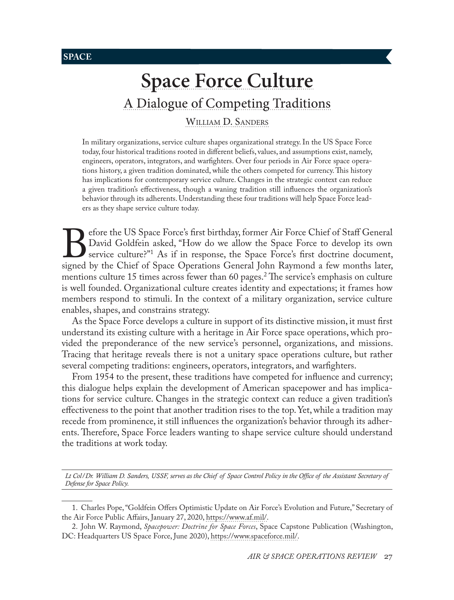**SPACE**

# **[Space Force Culture](#page-0-0)** [A Dialogue of Competing Traditions](#page-0-0)

[William D. Sanders](#page-0-0)

In military organizations, service culture shapes organizational strategy. In the US Space Force today, four historical traditions rooted in different beliefs, values, and assumptions exist, namely, engineers, operators, integrators, and warfighters. Over four periods in Air Force space operations history, a given tradition dominated, while the others competed for currency. This history has implications for contemporary service culture. Changes in the strategic context can reduce a given tradition's effectiveness, though a waning tradition still influences the organization's behavior through its adherents. Understanding these four traditions will help Space Force leaders as they shape service culture today.

Before the US Space Force's first birthday, former Air Force Chief of Staff General David Goldfein asked, "How do we allow the Space Force's first doctrine document, signed by the Chief of Space Operations General John Ray David Goldfein asked, "How do we allow the Space Force to develop its own service culture?"1 As if in response, the Space Force's first doctrine document, mentions culture 15 times across fewer than 60 pages.2 The service's emphasis on culture is well founded. Organizational culture creates identity and expectations; it frames how members respond to stimuli. In the context of a military organization, service culture enables, shapes, and constrains strategy.

As the Space Force develops a culture in support of its distinctive mission, it must first understand its existing culture with a heritage in Air Force space operations, which provided the preponderance of the new service's personnel, organizations, and missions. Tracing that heritage reveals there is not a unitary space operations culture, but rather several competing traditions: engineers, operators, integrators, and warfighters.

From 1954 to the present, these traditions have competed for influence and currency; this dialogue helps explain the development of American spacepower and has implications for service culture. Changes in the strategic context can reduce a given tradition's effectiveness to the point that another tradition rises to the top. Yet, while a tradition may recede from prominence, it still influences the organization's behavior through its adherents. Therefore, Space Force leaders wanting to shape service culture should understand the traditions at work today.

*Lt Col/Dr. William D. Sanders, USSF, serves as the Chief of Space Control Policy in the Office of the Assistant Secretary of Defense for Space Policy.*

<sup>1.</sup> Charles Pope, "Goldfein Offers Optimistic Update on Air Force's Evolution and Future," Secretary of the Air Force Public Affairs, January 27, 2020, [https://www.af.mil/](https://www.af.mil/News/Article-Display/Article/2066974/goldfein-offers-optimistic-update-on-air-forces-evolution-and-future/).

<span id="page-0-0"></span><sup>2.</sup> John W. Raymond, *Spacepower: Doctrine for Space Forces*, Space Capstone Publication (Washington, DC: Headquarters US Space Force, June 2020), [https://www.spaceforce.mil/](https://www.spaceforce.mil/Portals/1/Space%20Capstone%20Publication_10%20Aug%202020.pdf).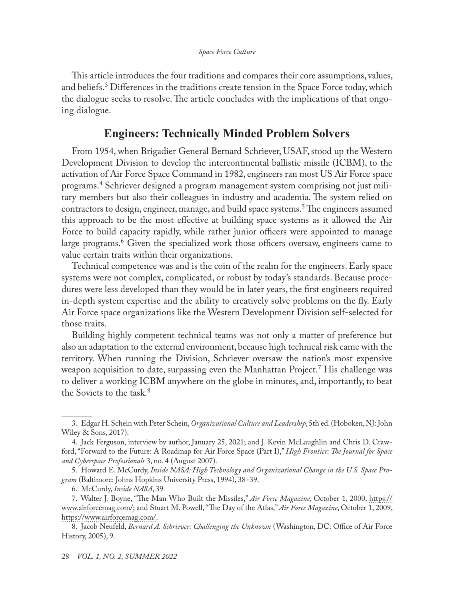This article introduces the four traditions and compares their core assumptions, values, and beliefs.<sup>3</sup> Differences in the traditions create tension in the Space Force today, which the dialogue seeks to resolve. The article concludes with the implications of that ongoing dialogue.

## **Engineers: Technically Minded Problem Solvers**

From 1954, when Brigadier General Bernard Schriever, USAF, stood up the Western Development Division to develop the intercontinental ballistic missile (ICBM), to the activation of Air Force Space Command in 1982, engineers ran most US Air Force space programs.<sup>4</sup> Schriever designed a program management system comprising not just military members but also their colleagues in industry and academia. The system relied on contractors to design, engineer, manage, and build space systems.5 The engineers assumed this approach to be the most effective at building space systems as it allowed the Air Force to build capacity rapidly, while rather junior officers were appointed to manage large programs.<sup>6</sup> Given the specialized work those officers oversaw, engineers came to value certain traits within their organizations.

Technical competence was and is the coin of the realm for the engineers. Early space systems were not complex, complicated, or robust by today's standards. Because procedures were less developed than they would be in later years, the first engineers required in-depth system expertise and the ability to creatively solve problems on the fly. Early Air Force space organizations like the Western Development Division self-selected for those traits.

Building highly competent technical teams was not only a matter of preference but also an adaptation to the external environment, because high technical risk came with the territory. When running the Division, Schriever oversaw the nation's most expensive weapon acquisition to date, surpassing even the Manhattan Project.<sup>7</sup> His challenge was to deliver a working ICBM anywhere on the globe in minutes, and, importantly, to beat the Soviets to the task  $8$ 

<sup>3.</sup> Edgar H. Schein with Peter Schein, *Organizational Culture and Leadership*, 5th ed. (Hoboken, NJ: John Wiley & Sons, 2017).

<sup>4.</sup> Jack Ferguson, interview by author, January 25, 2021; and J. Kevin McLaughlin and Chris D. Crawford, "Forward to the Future: A Roadmap for Air Force Space (Part I)," *High Frontier: The Journal for Space and Cyberspace Professionals* 3, no. 4 (August 2007).

<sup>5.</sup> Howard E. McCurdy, *Inside NASA: High Technology and Organizational Change in the U.S. Space Program* (Baltimore: Johns Hopkins University Press, 1994), 38–39.

<sup>6.</sup> McCurdy, *Inside NASA*, 39*.*

<sup>7.</sup> Walter J. Boyne, "The Man Who Built the Missiles," *Air Force Magazine*, October 1, 2000, [https://](https://www.airforcemag.com/article/1000bennie/) [www.airforcemag.com/;](https://www.airforcemag.com/article/1000bennie/) and Stuart M. Powell, "The Day of the Atlas," *Air Force Magazine*, October 1, 2009, [https://www.airforcemag.com/.](https://www.airforcemag.com/article/1009atlas/)

<sup>8.</sup> Jacob Neufeld, *Bernard A. Schriever: Challenging the Unknown* (Washington, DC: Office of Air Force History, 2005), 9.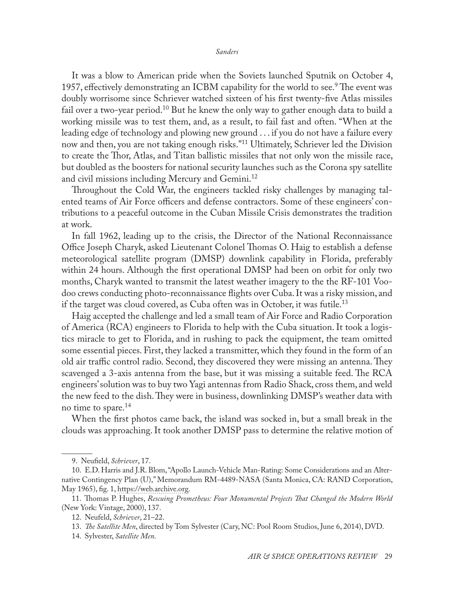It was a blow to American pride when the Soviets launched Sputnik on October 4, 1957, effectively demonstrating an ICBM capability for the world to see.<sup>9</sup> The event was doubly worrisome since Schriever watched sixteen of his first twenty-five Atlas missiles fail over a two-year period.<sup>10</sup> But he knew the only way to gather enough data to build a working missile was to test them, and, as a result, to fail fast and often. "When at the leading edge of technology and plowing new ground . . . if you do not have a failure every now and then, you are not taking enough risks."11 Ultimately, Schriever led the Division to create the Thor, Atlas, and Titan ballistic missiles that not only won the missile race, but doubled as the boosters for national security launches such as the Corona spy satellite and civil missions including Mercury and Gemini.<sup>12</sup>

Throughout the Cold War, the engineers tackled risky challenges by managing talented teams of Air Force officers and defense contractors. Some of these engineers' contributions to a peaceful outcome in the Cuban Missile Crisis demonstrates the tradition at work.

In fall 1962, leading up to the crisis, the Director of the National Reconnaissance Office Joseph Charyk, asked Lieutenant Colonel Thomas O. Haig to establish a defense meteorological satellite program (DMSP) downlink capability in Florida, preferably within 24 hours. Although the first operational DMSP had been on orbit for only two months, Charyk wanted to transmit the latest weather imagery to the the RF-101 Voodoo crews conducting photo-reconnaissance flights over Cuba. It was a risky mission, and if the target was cloud covered, as Cuba often was in October, it was futile.<sup>13</sup>

Haig accepted the challenge and led a small team of Air Force and Radio Corporation of America (RCA) engineers to Florida to help with the Cuba situation. It took a logistics miracle to get to Florida, and in rushing to pack the equipment, the team omitted some essential pieces. First, they lacked a transmitter, which they found in the form of an old air traffic control radio. Second, they discovered they were missing an antenna. They scavenged a 3-axis antenna from the base, but it was missing a suitable feed. The RCA engineers' solution was to buy two Yagi antennas from Radio Shack, cross them, and weld the new feed to the dish. They were in business, downlinking DMSP's weather data with no time to spare.<sup>14</sup>

When the first photos came back, the island was socked in, but a small break in the clouds was approaching. It took another DMSP pass to determine the relative motion of

<sup>9.</sup> Neufield, *Schriever*, 17.

<sup>10.</sup> E.D. Harris and J.R. Blom, "Apollo Launch-Vehicle Man-Rating: Some Considerations and an Alternative Contingency Plan (U)," Memorandum RM-4489-NASA (Santa Monica, CA: RAND Corporation, May 1965), fig. 1, [https://web.archive.org](https://web.archive.org/web/20100515120337/http://ntrs.nasa.gov/archive/nasa/casi.ntrs.nasa.gov/19770078693_1977078693.pdf).

<sup>11.</sup> Thomas P. Hughes, *Rescuing Prometheus: Four Monumental Projects That Changed the Modern World* (New York: Vintage, 2000), 137.

<sup>12.</sup> Neufeld, *Schriever*, 21–22.

<sup>13.</sup> *The Satellite Men*, directed by Tom Sylvester (Cary, NC: Pool Room Studios, June 6, 2014), DVD.

<sup>14.</sup> Sylvester, *Satellite Men*.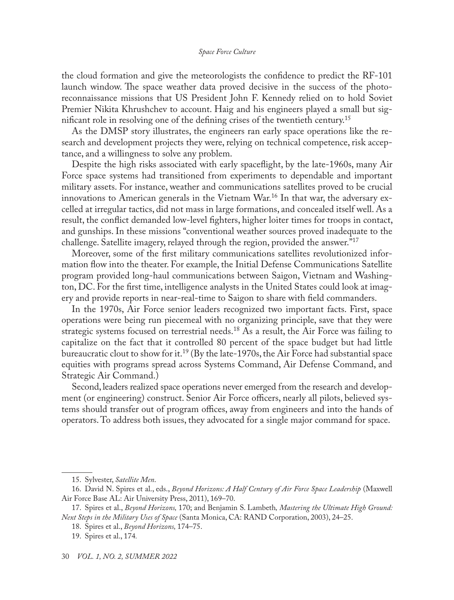the cloud formation and give the meteorologists the confidence to predict the RF-101 launch window. The space weather data proved decisive in the success of the photoreconnaissance missions that US President John F. Kennedy relied on to hold Soviet Premier Nikita Khrushchev to account. Haig and his engineers played a small but significant role in resolving one of the defining crises of the twentieth century.<sup>15</sup>

As the DMSP story illustrates, the engineers ran early space operations like the research and development projects they were, relying on technical competence, risk acceptance, and a willingness to solve any problem.

Despite the high risks associated with early spaceflight, by the late-1960s, many Air Force space systems had transitioned from experiments to dependable and important military assets. For instance, weather and communications satellites proved to be crucial innovations to American generals in the Vietnam War.<sup>16</sup> In that war, the adversary excelled at irregular tactics, did not mass in large formations, and concealed itself well. As a result, the conflict demanded low-level fighters, higher loiter times for troops in contact, and gunships. In these missions "conventional weather sources proved inadequate to the challenge. Satellite imagery, relayed through the region, provided the answer."17

Moreover, some of the first military communications satellites revolutionized information flow into the theater. For example, the Initial Defense Communications Satellite program provided long-haul communications between Saigon, Vietnam and Washington, DC. For the first time, intelligence analysts in the United States could look at imagery and provide reports in near-real-time to Saigon to share with field commanders.

In the 1970s, Air Force senior leaders recognized two important facts. First, space operations were being run piecemeal with no organizing principle, save that they were strategic systems focused on terrestrial needs.<sup>18</sup> As a result, the Air Force was failing to capitalize on the fact that it controlled 80 percent of the space budget but had little bureaucratic clout to show for it.<sup>19</sup> (By the late-1970s, the Air Force had substantial space equities with programs spread across Systems Command, Air Defense Command, and Strategic Air Command.)

Second, leaders realized space operations never emerged from the research and development (or engineering) construct. Senior Air Force officers, nearly all pilots, believed systems should transfer out of program offices, away from engineers and into the hands of operators. To address both issues, they advocated for a single major command for space.

<sup>15.</sup> Sylvester, *Satellite Men*.

<sup>16.</sup> David N. Spires et al., eds., *Beyond Horizons: A Half Century of Air Force Space Leadership* (Maxwell Air Force Base AL: Air University Press, 2011), 169–70.

<sup>17.</sup> Spires et al., *Beyond Horizons,* 170; and Benjamin S. Lambeth*, Mastering the Ultimate High Ground: Next Steps in the Military Uses of Space* (Santa Monica, CA: RAND Corporation, 2003), 24–25.

<sup>18.</sup> Spires et al., *Beyond Horizons,* 174–75.

<sup>19.</sup> Spires et al., 174*.*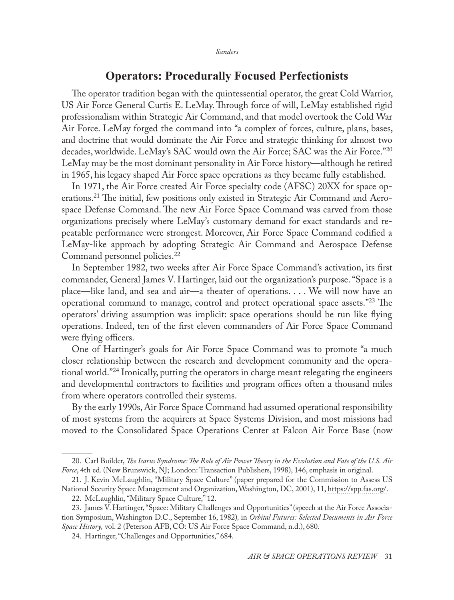# **Operators: Procedurally Focused Perfectionists**

The operator tradition began with the quintessential operator, the great Cold Warrior, US Air Force General Curtis E. LeMay. Through force of will, LeMay established rigid professionalism within Strategic Air Command, and that model overtook the Cold War Air Force. LeMay forged the command into "a complex of forces, culture, plans, bases, and doctrine that would dominate the Air Force and strategic thinking for almost two decades, worldwide. LeMay's SAC would own the Air Force; SAC was the Air Force."<sup>20</sup> LeMay may be the most dominant personality in Air Force history—although he retired in 1965, his legacy shaped Air Force space operations as they became fully established.

In 1971, the Air Force created Air Force specialty code (AFSC) 20XX for space operations.21 The initial, few positions only existed in Strategic Air Command and Aerospace Defense Command. The new Air Force Space Command was carved from those organizations precisely where LeMay's customary demand for exact standards and repeatable performance were strongest. Moreover, Air Force Space Command codified a LeMay-like approach by adopting Strategic Air Command and Aerospace Defense Command personnel policies.22

In September 1982, two weeks after Air Force Space Command's activation, its first commander, General James V. Hartinger, laid out the organization's purpose. "Space is a place—like land, and sea and air—a theater of operations. . . . We will now have an operational command to manage, control and protect operational space assets."23 The operators' driving assumption was implicit: space operations should be run like flying operations. Indeed, ten of the first eleven commanders of Air Force Space Command were flying officers.

One of Hartinger's goals for Air Force Space Command was to promote "a much closer relationship between the research and development community and the operational world."24 Ironically, putting the operators in charge meant relegating the engineers and developmental contractors to facilities and program offices often a thousand miles from where operators controlled their systems.

By the early 1990s, Air Force Space Command had assumed operational responsibility of most systems from the acquirers at Space Systems Division, and most missions had moved to the Consolidated Space Operations Center at Falcon Air Force Base (now

<sup>20.</sup> Carl Builder, *The Icarus Syndrome: The Role of Air Power Theory in the Evolution and Fate of the U.S. Air Force*, 4th ed. (New Brunswick, NJ; London: Transaction Publishers, 1998), 146, emphasis in original.

<sup>21.</sup> J. Kevin McLaughlin, "Military Space Culture" (paper prepared for the Commission to Assess US National Security Space Management and Organization, Washington, DC, 2001), 11, [https://spp.fas.org/](https://spp.fas.org/eprint/article02.html).

<sup>22.</sup> McLaughlin, "Military Space Culture," 12.

<sup>23.</sup> James V. Hartinger, "Space: Military Challenges and Opportunities" (speech at the Air Force Association Symposium, Washington D.C., September 16, 1982)*,* in *Orbital Futures: Selected Documents in Air Force Space History,* vol. 2 (Peterson AFB, CO: US Air Force Space Command, n.d.), 680.

<sup>24.</sup> Hartinger, "Challenges and Opportunities," 684.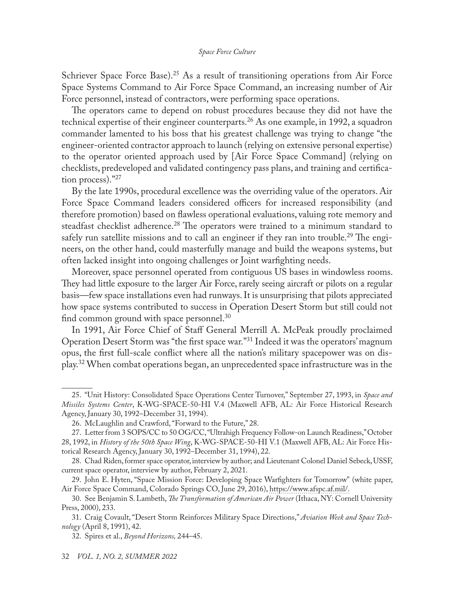Schriever Space Force Base).<sup>25</sup> As a result of transitioning operations from Air Force Space Systems Command to Air Force Space Command, an increasing number of Air Force personnel, instead of contractors, were performing space operations.

The operators came to depend on robust procedures because they did not have the technical expertise of their engineer counterparts.<sup>26</sup> As one example, in 1992, a squadron commander lamented to his boss that his greatest challenge was trying to change "the engineer-oriented contractor approach to launch (relying on extensive personal expertise) to the operator oriented approach used by [Air Force Space Command] (relying on checklists, predeveloped and validated contingency pass plans, and training and certification process)."27

By the late 1990s, procedural excellence was the overriding value of the operators. Air Force Space Command leaders considered officers for increased responsibility (and therefore promotion) based on flawless operational evaluations, valuing rote memory and steadfast checklist adherence.28 The operators were trained to a minimum standard to safely run satellite missions and to call an engineer if they ran into trouble.<sup>29</sup> The engineers, on the other hand, could masterfully manage and build the weapons systems, but often lacked insight into ongoing challenges or Joint warfighting needs.

Moreover, space personnel operated from contiguous US bases in windowless rooms. They had little exposure to the larger Air Force, rarely seeing aircraft or pilots on a regular basis—few space installations even had runways. It is unsurprising that pilots appreciated how space systems contributed to success in Operation Desert Storm but still could not find common ground with space personnel.30

In 1991, Air Force Chief of Staff General Merrill A. McPeak proudly proclaimed Operation Desert Storm was "the first space war."31 Indeed it was the operators' magnum opus, the first full-scale conflict where all the nation's military spacepower was on display.32 When combat operations began, an unprecedented space infrastructure was in the

<sup>25.</sup> "Unit History: Consolidated Space Operations Center Turnover," September 27, 1993, in *Space and Missiles Systems Center*, K-WG-SPACE-50-HI V.4 (Maxwell AFB, AL: Air Force Historical Research Agency, January 30, 1992–December 31, 1994).

<sup>26.</sup> McLaughlin and Crawford, "Forward to the Future," 28.

<sup>27.</sup> Letter from 3 SOPS/CC to 50 OG/CC, "Ultrahigh Frequency Follow-on Launch Readiness," October 28, 1992, in *History of the 50th Space Wing*, K-WG-SPACE-50-HI V.1 (Maxwell AFB, AL: Air Force Historical Research Agency, January 30, 1992–December 31, 1994), 22.

<sup>28.</sup> Chad Riden, former space operator, interview by author; and Lieutenant Colonel Daniel Sebeck, USSF, current space operator, interview by author, February 2, 2021.

<sup>29.</sup> John E. Hyten, "Space Mission Force: Developing Space Warfighters for Tomorrow" (white paper, Air Force Space Command, Colorado Springs CO, June 29, 2016), [https://www.afspc.af.mil/.](https://www.afspc.af.mil/Portals/3/documents/White%20Paper%20-%20Space%20Mission%20Force/AFSPC%20SMF%20White%20Paper%20-%20FINAL%20-%20AFSPC%20CC%20Approved%20on%20June%2029.pdf?ver=2016-07-19-095254-887.)

<sup>30.</sup> See Benjamin S. Lambeth, *The Transformation of American Air Power* (Ithaca, NY: Cornell University Press, 2000), 233.

<sup>31.</sup> Craig Covault, "Desert Storm Reinforces Military Space Directions," *Aviation Week and Space Technology* (April 8, 1991), 42.

<sup>32.</sup> Spires et al., *Beyond Horizons,* 244–45.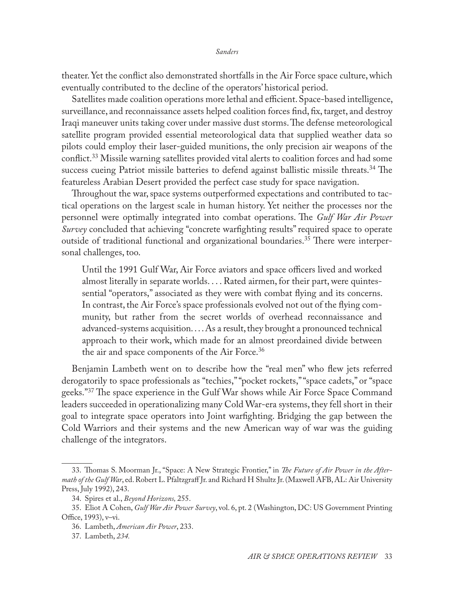theater. Yet the conflict also demonstrated shortfalls in the Air Force space culture, which eventually contributed to the decline of the operators' historical period.

Satellites made coalition operations more lethal and efficient. Space-based intelligence, surveillance, and reconnaissance assets helped coalition forces find, fix, target, and destroy Iraqi maneuver units taking cover under massive dust storms. The defense meteorological satellite program provided essential meteorological data that supplied weather data so pilots could employ their laser-guided munitions, the only precision air weapons of the conflict.33 Missile warning satellites provided vital alerts to coalition forces and had some success cueing Patriot missile batteries to defend against ballistic missile threats.<sup>34</sup> The featureless Arabian Desert provided the perfect case study for space navigation.

Throughout the war, space systems outperformed expectations and contributed to tactical operations on the largest scale in human history. Yet neither the processes nor the personnel were optimally integrated into combat operations. The *Gulf War Air Power Survey* concluded that achieving "concrete warfighting results" required space to operate outside of traditional functional and organizational boundaries.35 There were interpersonal challenges, too.

Until the 1991 Gulf War, Air Force aviators and space officers lived and worked almost literally in separate worlds. . . . Rated airmen, for their part, were quintessential "operators," associated as they were with combat flying and its concerns. In contrast, the Air Force's space professionals evolved not out of the flying community, but rather from the secret worlds of overhead reconnaissance and advanced-systems acquisition. . . . As a result, they brought a pronounced technical approach to their work, which made for an almost preordained divide between the air and space components of the Air Force.<sup>36</sup>

Benjamin Lambeth went on to describe how the "real men" who flew jets referred derogatorily to space professionals as "techies," "pocket rockets," "space cadets," or "space geeks."37 The space experience in the Gulf War shows while Air Force Space Command leaders succeeded in operationalizing many Cold War-era systems, they fell short in their goal to integrate space operators into Joint warfighting. Bridging the gap between the Cold Warriors and their systems and the new American way of war was the guiding challenge of the integrators.

<sup>33.</sup> Thomas S. Moorman Jr., "Space: A New Strategic Frontier," in *The Future of Air Power in the Aftermath of the Gulf War*, ed. Robert L. Pfaltzgraff Jr. and Richard H Shultz Jr. (Maxwell AFB, AL: Air University Press, July 1992), 243.

<sup>34.</sup> Spires et al., *Beyond Horizons,* 255.

<sup>35.</sup> Eliot A Cohen, *Gulf War Air Power Survey*, vol. 6, pt. 2 (Washington, DC: US Government Printing Office, 1993), v–vi.

<sup>36.</sup> Lambeth, *American Air Power*, 233.

<sup>37.</sup> Lambeth, *234.*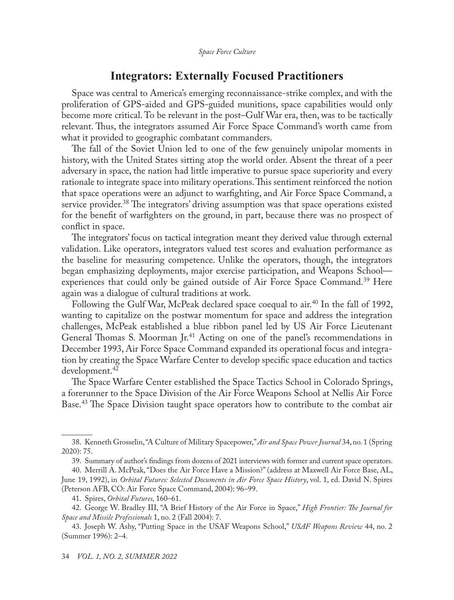# **Integrators: Externally Focused Practitioners**

Space was central to America's emerging reconnaissance-strike complex, and with the proliferation of GPS-aided and GPS-guided munitions, space capabilities would only become more critical. To be relevant in the post–Gulf War era, then, was to be tactically relevant. Thus, the integrators assumed Air Force Space Command's worth came from what it provided to geographic combatant commanders.

The fall of the Soviet Union led to one of the few genuinely unipolar moments in history, with the United States sitting atop the world order. Absent the threat of a peer adversary in space, the nation had little imperative to pursue space superiority and every rationale to integrate space into military operations. This sentiment reinforced the notion that space operations were an adjunct to warfighting, and Air Force Space Command, a service provider.<sup>38</sup> The integrators' driving assumption was that space operations existed for the benefit of warfighters on the ground, in part, because there was no prospect of conflict in space.

The integrators' focus on tactical integration meant they derived value through external validation. Like operators, integrators valued test scores and evaluation performance as the baseline for measuring competence. Unlike the operators, though, the integrators began emphasizing deployments, major exercise participation, and Weapons School experiences that could only be gained outside of Air Force Space Command.<sup>39</sup> Here again was a dialogue of cultural traditions at work.

Following the Gulf War, McPeak declared space coequal to air.<sup>40</sup> In the fall of 1992, wanting to capitalize on the postwar momentum for space and address the integration challenges, McPeak established a blue ribbon panel led by US Air Force Lieutenant General Thomas S. Moorman Jr.<sup>41</sup> Acting on one of the panel's recommendations in December 1993, Air Force Space Command expanded its operational focus and integration by creating the Space Warfare Center to develop specific space education and tactics development.42

The Space Warfare Center established the Space Tactics School in Colorado Springs, a forerunner to the Space Division of the Air Force Weapons School at Nellis Air Force Base.<sup>43</sup> The Space Division taught space operators how to contribute to the combat air

<sup>38.</sup> Kenneth Grosselin, "A Culture of Military Spacepower," *Air and Space Power Journal* 34, no. 1 (Spring 2020): 75.

<sup>39.</sup> Summary of author's findings from dozens of 2021 interviews with former and current space operators.

<sup>40.</sup> Merrill A. McPeak, "Does the Air Force Have a Mission?" (address at Maxwell Air Force Base, AL, June 19, 1992), in *Orbital Futures: Selected Documents in Air Force Space History*, vol. 1, ed. David N. Spires (Peterson AFB, CO: Air Force Space Command, 2004): 96–99.

<sup>41.</sup> Spires, *Orbital Futures,* 160–61.

<sup>42.</sup> George W. Bradley III, "A Brief History of the Air Force in Space," *High Frontier: The Journal for Space and Missile Professionals* 1, no. 2 (Fall 2004): 7.

<sup>43.</sup> Joseph W. Ashy, "Putting Space in the USAF Weapons School," *USAF Weapons Review* 44, no. 2 (Summer 1996): 2–4.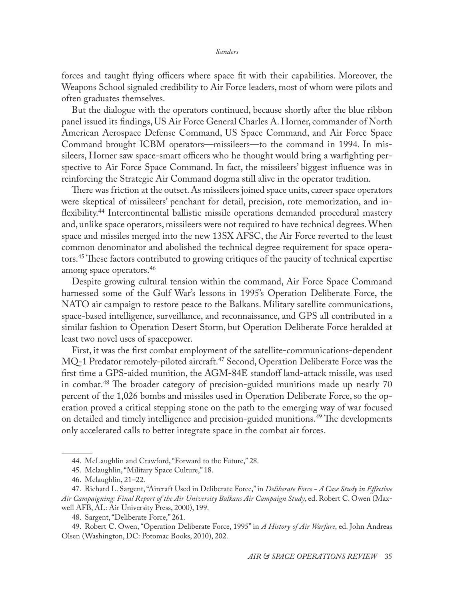forces and taught flying officers where space fit with their capabilities. Moreover, the Weapons School signaled credibility to Air Force leaders, most of whom were pilots and often graduates themselves.

But the dialogue with the operators continued, because shortly after the blue ribbon panel issued its findings, US Air Force General Charles A. Horner, commander of North American Aerospace Defense Command, US Space Command, and Air Force Space Command brought ICBM operators—missileers—to the command in 1994. In missileers, Horner saw space-smart officers who he thought would bring a warfighting perspective to Air Force Space Command. In fact, the missileers' biggest influence was in reinforcing the Strategic Air Command dogma still alive in the operator tradition.

There was friction at the outset. As missileers joined space units, career space operators were skeptical of missileers' penchant for detail, precision, rote memorization, and inflexibility.44 Intercontinental ballistic missile operations demanded procedural mastery and, unlike space operators, missileers were not required to have technical degrees. When space and missiles merged into the new 13SX AFSC, the Air Force reverted to the least common denominator and abolished the technical degree requirement for space operators.<sup>45</sup> These factors contributed to growing critiques of the paucity of technical expertise among space operators.46

Despite growing cultural tension within the command, Air Force Space Command harnessed some of the Gulf War's lessons in 1995's Operation Deliberate Force, the NATO air campaign to restore peace to the Balkans. Military satellite communications, space-based intelligence, surveillance, and reconnaissance, and GPS all contributed in a similar fashion to Operation Desert Storm, but Operation Deliberate Force heralded at least two novel uses of spacepower.

First, it was the first combat employment of the satellite-communications-dependent MQ-1 Predator remotely-piloted aircraft.<sup>47</sup> Second, Operation Deliberate Force was the first time a GPS-aided munition, the AGM-84E standoff land-attack missile, was used in combat.48 The broader category of precision-guided munitions made up nearly 70 percent of the 1,026 bombs and missiles used in Operation Deliberate Force, so the operation proved a critical stepping stone on the path to the emerging way of war focused on detailed and timely intelligence and precision-guided munitions.<sup>49</sup> The developments only accelerated calls to better integrate space in the combat air forces.

<sup>44.</sup> McLaughlin and Crawford, "Forward to the Future," 28.

<sup>45.</sup> Mclaughlin, "Military Space Culture," 18.

<sup>46.</sup> Mclaughlin, 21–22.

<sup>47.</sup> Richard L. Sargent, "Aircraft Used in Deliberate Force," in *Deliberate Force - A Case Study in Effective Air Campaigning: Final Report of the Air University Balkans Air Campaign Study*, ed. Robert C. Owen (Maxwell AFB, AL: Air University Press, 2000), 199.

<sup>48.</sup> Sargent, "Deliberate Force," 261.

<sup>49.</sup> Robert C. Owen, "Operation Deliberate Force, 1995" in *A History of Air Warfare*, ed. John Andreas Olsen (Washington, DC: Potomac Books, 2010), 202.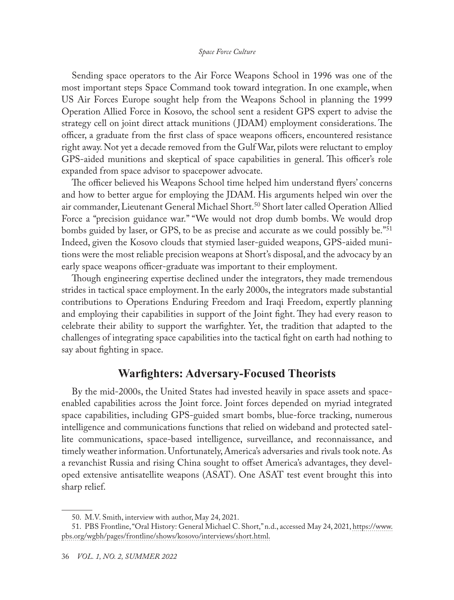Sending space operators to the Air Force Weapons School in 1996 was one of the most important steps Space Command took toward integration. In one example, when US Air Forces Europe sought help from the Weapons School in planning the 1999 Operation Allied Force in Kosovo, the school sent a resident GPS expert to advise the strategy cell on joint direct attack munitions ( JDAM) employment considerations. The officer, a graduate from the first class of space weapons officers, encountered resistance right away. Not yet a decade removed from the Gulf War, pilots were reluctant to employ GPS-aided munitions and skeptical of space capabilities in general. This officer's role expanded from space advisor to spacepower advocate.

The officer believed his Weapons School time helped him understand flyers' concerns and how to better argue for employing the JDAM. His arguments helped win over the air commander, Lieutenant General Michael Short.<sup>50</sup> Short later called Operation Allied Force a "precision guidance war." "We would not drop dumb bombs. We would drop bombs guided by laser, or GPS, to be as precise and accurate as we could possibly be.<sup>"51</sup> Indeed, given the Kosovo clouds that stymied laser-guided weapons, GPS-aided munitions were the most reliable precision weapons at Short's disposal, and the advocacy by an early space weapons officer-graduate was important to their employment.

Though engineering expertise declined under the integrators, they made tremendous strides in tactical space employment. In the early 2000s, the integrators made substantial contributions to Operations Enduring Freedom and Iraqi Freedom, expertly planning and employing their capabilities in support of the Joint fight. They had every reason to celebrate their ability to support the warfighter. Yet, the tradition that adapted to the challenges of integrating space capabilities into the tactical fight on earth had nothing to say about fighting in space.

# **Warfighters: Adversary-Focused Theorists**

By the mid-2000s, the United States had invested heavily in space assets and spaceenabled capabilities across the Joint force. Joint forces depended on myriad integrated space capabilities, including GPS-guided smart bombs, blue-force tracking, numerous intelligence and communications functions that relied on wideband and protected satellite communications, space-based intelligence, surveillance, and reconnaissance, and timely weather information. Unfortunately, America's adversaries and rivals took note. As a revanchist Russia and rising China sought to offset America's advantages, they developed extensive antisatellite weapons (ASAT). One ASAT test event brought this into sharp relief.

<sup>50.</sup> M.V. Smith, interview with author, May 24, 2021.

<sup>51.</sup> PBS Frontline, "Oral History: General Michael C. Short," n.d., accessed May 24, 2021, https://www. pbs.org/wgbh/pages/frontline/shows/kosovo/interviews/short.html.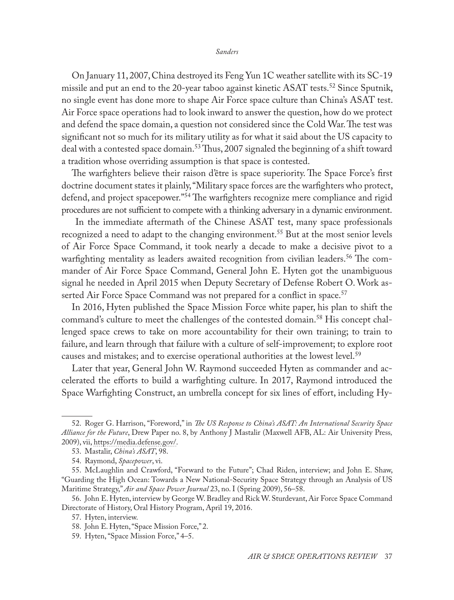On January 11, 2007, China destroyed its Feng Yun 1C weather satellite with its SC-19 missile and put an end to the 20-year taboo against kinetic ASAT tests.<sup>52</sup> Since Sputnik, no single event has done more to shape Air Force space culture than China's ASAT test. Air Force space operations had to look inward to answer the question, how do we protect and defend the space domain, a question not considered since the Cold War. The test was significant not so much for its military utility as for what it said about the US capacity to deal with a contested space domain.<sup>53</sup> Thus, 2007 signaled the beginning of a shift toward a tradition whose overriding assumption is that space is contested.

The warfighters believe their raison d'être is space superiority. The Space Force's first doctrine document states it plainly, "Military space forces are the warfighters who protect, defend, and project spacepower."<sup>54</sup> The warfighters recognize mere compliance and rigid procedures are not sufficient to compete with a thinking adversary in a dynamic environment.

 In the immediate aftermath of the Chinese ASAT test, many space professionals recognized a need to adapt to the changing environment.55 But at the most senior levels of Air Force Space Command, it took nearly a decade to make a decisive pivot to a warfighting mentality as leaders awaited recognition from civilian leaders.<sup>56</sup> The commander of Air Force Space Command, General John E. Hyten got the unambiguous signal he needed in April 2015 when Deputy Secretary of Defense Robert O. Work asserted Air Force Space Command was not prepared for a conflict in space.<sup>57</sup>

In 2016, Hyten published the Space Mission Force white paper, his plan to shift the command's culture to meet the challenges of the contested domain.58 His concept challenged space crews to take on more accountability for their own training; to train to failure, and learn through that failure with a culture of self-improvement; to explore root causes and mistakes; and to exercise operational authorities at the lowest level.59

Later that year, General John W. Raymond succeeded Hyten as commander and accelerated the efforts to build a warfighting culture. In 2017, Raymond introduced the Space Warfighting Construct, an umbrella concept for six lines of effort, including Hy-

<sup>52.</sup> Roger G. Harrison, "Foreword," in *The US Response to China's ASAT: An International Security Space Alliance for the Future*, Drew Paper no. 8, by Anthony J Mastalir (Maxwell AFB, AL: Air University Press*,*  2009), vii, [https://media.defense.gov/](https://media.defense.gov/2017/Nov/21/2001847283/-1/-1/0/DP_0008_MASTILIR_US_RESPONSE_CHINA_ASAT.PDF).

<sup>53.</sup> Mastalir, *China's ASAT*, 98.

<sup>54.</sup> Raymond, *Spacepower*, vi.

<sup>55.</sup> McLaughlin and Crawford, "Forward to the Future"; Chad Riden, interview; and John E. Shaw, "Guarding the High Ocean: Towards a New National-Security Space Strategy through an Analysis of US Maritime Strategy," *Air and Space Power Journal* 23, no. I (Spring 2009), 56–58.

<sup>56.</sup> John E. Hyten, interview by George W. Bradley and Rick W. Sturdevant, Air Force Space Command Directorate of History, Oral History Program, April 19, 2016.

<sup>57.</sup> Hyten, interview.

<sup>58.</sup> John E. Hyten, "Space Mission Force," 2.

<sup>59.</sup> Hyten, "Space Mission Force," 4–5.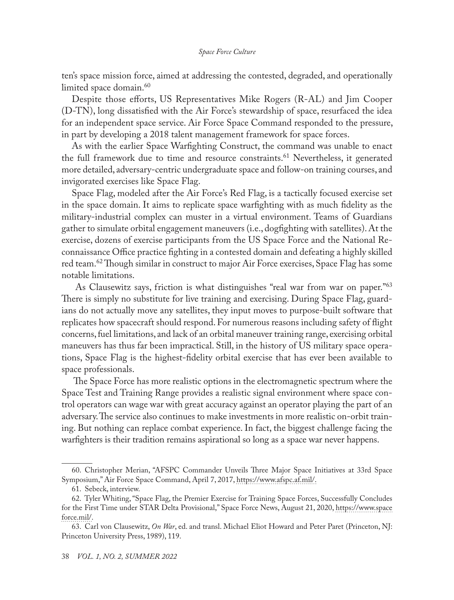ten's space mission force, aimed at addressing the contested, degraded, and operationally limited space domain.<sup>60</sup>

Despite those efforts, US Representatives Mike Rogers (R-AL) and Jim Cooper (D-TN), long dissatisfied with the Air Force's stewardship of space, resurfaced the idea for an independent space service. Air Force Space Command responded to the pressure, in part by developing a 2018 talent management framework for space forces.

As with the earlier Space Warfighting Construct, the command was unable to enact the full framework due to time and resource constraints.<sup>61</sup> Nevertheless, it generated more detailed, adversary-centric undergraduate space and follow-on training courses, and invigorated exercises like Space Flag.

Space Flag, modeled after the Air Force's Red Flag, is a tactically focused exercise set in the space domain. It aims to replicate space warfighting with as much fidelity as the military-industrial complex can muster in a virtual environment. Teams of Guardians gather to simulate orbital engagement maneuvers (i.e., dogfighting with satellites). At the exercise, dozens of exercise participants from the US Space Force and the National Reconnaissance Office practice fighting in a contested domain and defeating a highly skilled red team.<sup>62</sup> Though similar in construct to major Air Force exercises, Space Flag has some notable limitations.

As Clausewitz says, friction is what distinguishes "real war from war on paper."<sup>63</sup> There is simply no substitute for live training and exercising. During Space Flag, guardians do not actually move any satellites, they input moves to purpose-built software that replicates how spacecraft should respond. For numerous reasons including safety of flight concerns, fuel limitations, and lack of an orbital maneuver training range, exercising orbital maneuvers has thus far been impractical. Still, in the history of US military space operations, Space Flag is the highest-fidelity orbital exercise that has ever been available to space professionals.

 The Space Force has more realistic options in the electromagnetic spectrum where the Space Test and Training Range provides a realistic signal environment where space control operators can wage war with great accuracy against an operator playing the part of an adversary. The service also continues to make investments in more realistic on-orbit training. But nothing can replace combat experience. In fact, the biggest challenge facing the warfighters is their tradition remains aspirational so long as a space war never happens.

<sup>60.</sup> Christopher Merian, "AFSPC Commander Unveils Three Major Space Initiatives at 33rd Space Symposium," Air Force Space Command, April 7, 2017, [https://www.afspc.af.mil/](https://www.afspc.af.mil/News/Article-Display/Article/1145448/afspc-commander-unveils-three-major-space-initiatives-at-33rd-space-symposium/).

<sup>61.</sup> Sebeck, interview.

<sup>62.</sup> Tyler Whiting, "Space Flag, the Premier Exercise for Training Space Forces, Successfully Concludes for the First Time under STAR Delta Provisional," Space Force News, August 21, 2020, [https://www.space](https://www.spaceforce.mil/News/Article/2321531/space-flag-the-premier-exercise-for-training-space-forces-successfully-conclude) [force.mil/](https://www.spaceforce.mil/News/Article/2321531/space-flag-the-premier-exercise-for-training-space-forces-successfully-conclude).

<sup>63.</sup> Carl von Clausewitz, *On War*, ed. and transl. Michael Eliot Howard and Peter Paret (Princeton, NJ: Princeton University Press, 1989), 119.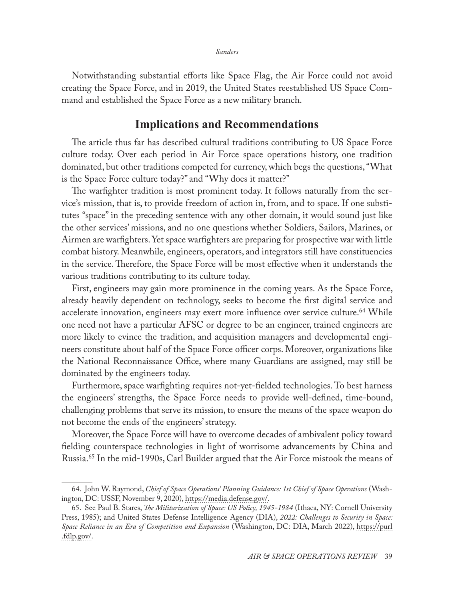Notwithstanding substantial efforts like Space Flag, the Air Force could not avoid creating the Space Force, and in 2019, the United States reestablished US Space Command and established the Space Force as a new military branch.

# **Implications and Recommendations**

The article thus far has described cultural traditions contributing to US Space Force culture today. Over each period in Air Force space operations history, one tradition dominated, but other traditions competed for currency, which begs the questions, "What is the Space Force culture today?" and "Why does it matter?"

The warfighter tradition is most prominent today. It follows naturally from the service's mission, that is, to provide freedom of action in, from, and to space. If one substitutes "space" in the preceding sentence with any other domain, it would sound just like the other services' missions, and no one questions whether Soldiers, Sailors, Marines, or Airmen are warfighters. Yet space warfighters are preparing for prospective war with little combat history. Meanwhile, engineers, operators, and integrators still have constituencies in the service. Therefore, the Space Force will be most effective when it understands the various traditions contributing to its culture today.

First, engineers may gain more prominence in the coming years. As the Space Force, already heavily dependent on technology, seeks to become the first digital service and accelerate innovation, engineers may exert more influence over service culture.<sup>64</sup> While one need not have a particular AFSC or degree to be an engineer, trained engineers are more likely to evince the tradition, and acquisition managers and developmental engineers constitute about half of the Space Force officer corps. Moreover, organizations like the National Reconnaissance Office, where many Guardians are assigned, may still be dominated by the engineers today.

Furthermore, space warfighting requires not-yet-fielded technologies. To best harness the engineers' strengths, the Space Force needs to provide well-defined, time-bound, challenging problems that serve its mission, to ensure the means of the space weapon do not become the ends of the engineers' strategy.

Moreover, the Space Force will have to overcome decades of ambivalent policy toward fielding counterspace technologies in light of worrisome advancements by China and Russia.65 In the mid-1990s, Carl Builder argued that the Air Force mistook the means of

<sup>64.</sup> John W. Raymond, *Chief of Space Operations' Planning Guidance: 1st Chief of Space Operations* (Washington, DC: USSF, November 9, 2020), [https://media.defense.gov/](https://media.defense.gov/2020/Nov/09/2002531998/-1/-1/0/CSO%20PLANNING%20GUIDANCE.PDF).

<sup>65.</sup> See Paul B. Stares, *The Militarization of Space: US Policy, 1945-1984* (Ithaca, NY: Cornell University Press, 1985); and United States Defense Intelligence Agency (DIA), *2022: Challenges to Security in Space: Space Reliance in an Era of Competition and Expansion* (Washington, DC: DIA, March 2022), [https://purl](https://purl.fdlp.gov/GPO/gpo177437) [.fdlp.gov/.](https://purl.fdlp.gov/GPO/gpo177437)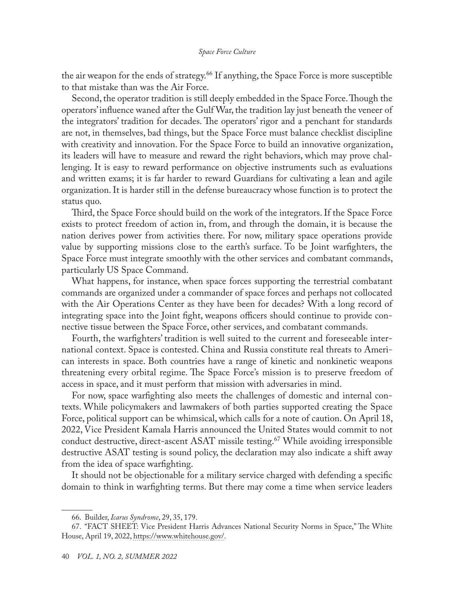the air weapon for the ends of strategy.<sup>66</sup> If anything, the Space Force is more susceptible to that mistake than was the Air Force.

Second, the operator tradition is still deeply embedded in the Space Force. Though the operators' influence waned after the Gulf War, the tradition lay just beneath the veneer of the integrators' tradition for decades. The operators' rigor and a penchant for standards are not, in themselves, bad things, but the Space Force must balance checklist discipline with creativity and innovation. For the Space Force to build an innovative organization, its leaders will have to measure and reward the right behaviors, which may prove challenging. It is easy to reward performance on objective instruments such as evaluations and written exams; it is far harder to reward Guardians for cultivating a lean and agile organization. It is harder still in the defense bureaucracy whose function is to protect the status quo.

Third, the Space Force should build on the work of the integrators. If the Space Force exists to protect freedom of action in, from, and through the domain, it is because the nation derives power from activities there. For now, military space operations provide value by supporting missions close to the earth's surface. To be Joint warfighters, the Space Force must integrate smoothly with the other services and combatant commands, particularly US Space Command.

What happens, for instance, when space forces supporting the terrestrial combatant commands are organized under a commander of space forces and perhaps not collocated with the Air Operations Center as they have been for decades? With a long record of integrating space into the Joint fight, weapons officers should continue to provide connective tissue between the Space Force, other services, and combatant commands.

Fourth, the warfighters' tradition is well suited to the current and foreseeable international context. Space is contested. China and Russia constitute real threats to American interests in space. Both countries have a range of kinetic and nonkinetic weapons threatening every orbital regime. The Space Force's mission is to preserve freedom of access in space, and it must perform that mission with adversaries in mind.

For now, space warfighting also meets the challenges of domestic and internal contexts. While policymakers and lawmakers of both parties supported creating the Space Force, political support can be whimsical, which calls for a note of caution. On April 18, 2022, Vice President Kamala Harris announced the United States would commit to not conduct destructive, direct-ascent ASAT missile testing.<sup>67</sup> While avoiding irresponsible destructive ASAT testing is sound policy, the declaration may also indicate a shift away from the idea of space warfighting.

It should not be objectionable for a military service charged with defending a specific domain to think in warfighting terms. But there may come a time when service leaders

<sup>66.</sup> Builder, *Icarus Syndrome*, 29, 35, 179.

<sup>67.</sup> "FACT SHEET: Vice President Harris Advances National Security Norms in Space," The White House, April 19, 2022, [https://www.whitehouse.gov/](https://www.whitehouse.gov/briefing-room/statements-releases/2022/04/18/fact-sheet-vice-president-harris-advances-national-security-norms-in-space/).